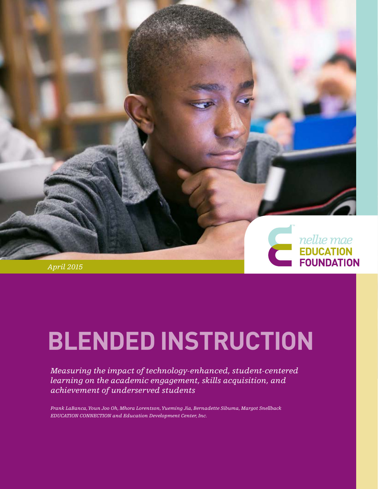

# *April 2015*

# **BLENDED INSTRUCTION**

*Measuring the impact of technology-enhanced, student-centered learning on the academic engagement, skills acquisition, and achievement of underserved students*

*Frank LaBanca, Youn Joo Oh, Mhora Lorentson, Yueming Jia, Bernadette Sibuma, Margot Snellback EDUCATION CONNECTION and Education Development Center, Inc.*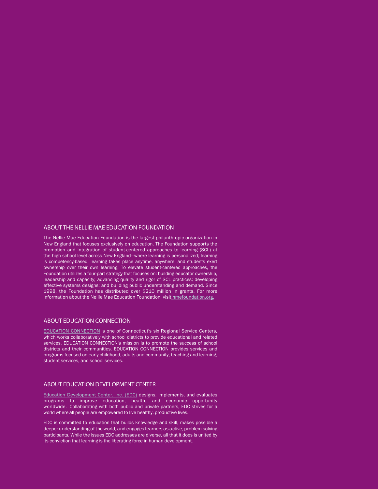### ABOUT THE NELLIE MAE EDUCATION FOUNDATION

The Nellie Mae Education Foundation is the largest philanthropic organization in New England that focuses exclusively on education. The Foundation supports the promotion and integration of student-centered approaches to learning (SCL) at the high school level across New England—where learning is personalized; learning is competency-based; learning takes place anytime, anywhere; and students exert ownership over their own learning. To elevate student-centered approaches, the Foundation utilizes a four-part strategy that focuses on: building educator ownership, leadership and capacity; advancing quality and rigor of SCL practices; developing effective systems designs; and building public understanding and demand. Since 1998, the Foundation has distributed over \$210 million in grants. For more information about the Nellie Mae Education Foundation, visit [nmefoundation.org.](http://www.nmefoundation.org)

#### ABOUT EDUCATION CONNECTION

[EDUCATION CONNECTION](http://educationconnection.org/) is one of Connecticut's six Regional Service Centers, which works collaboratively with school districts to provide educational and related services. EDUCATION CONNECTION's mission is to promote the success of school districts and their communities. EDUCATION CONNECTION provides services and programs focused on early childhood, adults and community, teaching and learning, student services, and school services.

#### ABOUT EDUCATION DEVELOPMENT CENTER

[Education Development Center, Inc. \(EDC\)](http://www.edc.org) designs, implements, and evaluates programs to improve education, health, and economic opportunity worldwide. Collaborating with both public and private partners, EDC strives for a world where all people are empowered to live healthy, productive lives.

EDC is committed to education that builds knowledge and skill, makes possible a deeper understanding of the world, and engages learners as active, problem-solving participants. While the issues EDC addresses are diverse, all that it does is united by its conviction that learning is the liberating force in human development.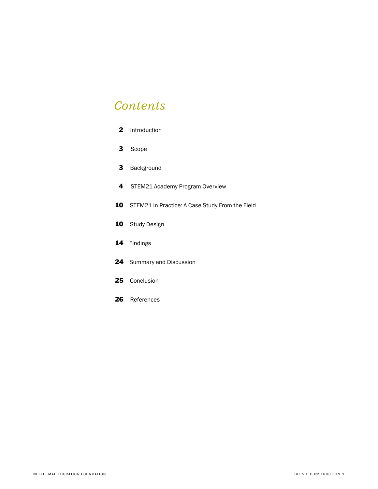# *Contents*

| 2 | Introduction |
|---|--------------|
|---|--------------|

- 3 Scope
- 3 Background
- 4 STEM21 Academy Program Overview
- 10 STEM21 In Practice: A Case Study From the Field
- 10 Study Design
- 14 Findings
- 24 Summary and Discussion
- 25 Conclusion
- 26 References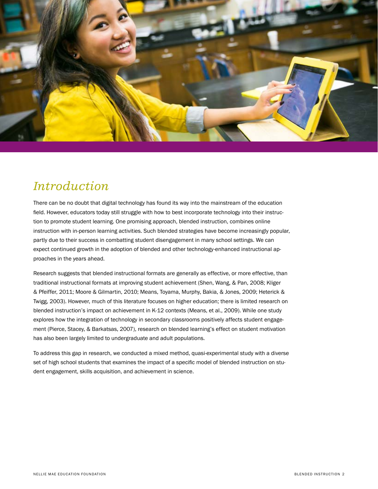

# *Introduction*

There can be no doubt that digital technology has found its way into the mainstream of the education field. However, educators today still struggle with how to best incorporate technology into their instruction to promote student learning. One promising approach, blended instruction, combines online instruction with in-person learning activities. Such blended strategies have become increasingly popular, partly due to their success in combatting student disengagement in many school settings. We can expect continued growth in the adoption of blended and other technology-enhanced instructional approaches in the years ahead.

Research suggests that blended instructional formats are generally as effective, or more effective, than traditional instructional formats at improving student achievement (Shen, Wang, & Pan, 2008; Kliger & Pfeiffer, 2011; Moore & Gilmartin, 2010; Means, Toyama, Murphy, Bakia, & Jones, 2009; Heterick & Twigg, 2003). However, much of this literature focuses on higher education; there is limited research on blended instruction's impact on achievement in K-12 contexts (Means, et al., 2009). While one study explores how the integration of technology in secondary classrooms positively affects student engagement (Pierce, Stacey, & Barkatsas, 2007), research on blended learning's effect on student motivation has also been largely limited to undergraduate and adult populations.

To address this gap in research, we conducted a mixed method, quasi-experimental study with a diverse set of high school students that examines the impact of a specific model of blended instruction on student engagement, skills acquisition, and achievement in science.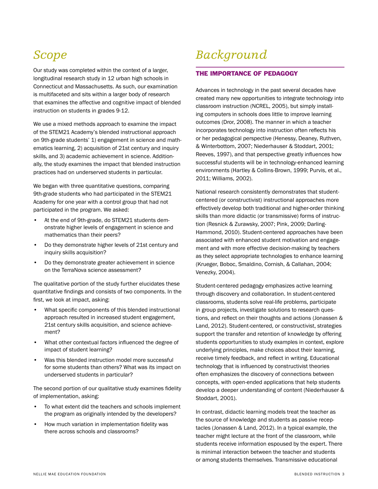# *Scope*

Our study was completed within the context of a larger, longitudinal research study in 12 urban high schools in Connecticut and Massachusetts. As such, our examination is multifaceted and sits within a larger body of research that examines the affective and cognitive impact of blended instruction on students in grades 9-12.

We use a mixed methods approach to examine the impact of the STEM21 Academy's blended instructional approach on 9th-grade students' 1) engagement in science and mathematics learning, 2) acquisition of 21st century and inquiry skills, and 3) academic achievement in science. Additionally, the study examines the impact that blended instruction practices had on underserved students in particular.

We began with three quantitative questions, comparing 9th-grade students who had participated in the STEM21 Academy for one year with a control group that had not participated in the program. We asked:

- At the end of 9th-grade, do STEM21 students demonstrate higher levels of engagement in science and mathematics than their peers?
- Do they demonstrate higher levels of 21st century and inquiry skills acquisition?
- Do they demonstrate greater achievement in science on the TerraNova science assessment?

The qualitative portion of the study further elucidates these quantitative findings and consists of two components. In the first, we look at impact, asking:

- What specific components of this blended instructional approach resulted in increased student engagement, 21st century skills acquisition, and science achievement?
- What other contextual factors influenced the degree of impact of student learning?
- Was this blended instruction model more successful for some students than others? What was its impact on underserved students in particular?

The second portion of our qualitative study examines fidelity of implementation, asking:

- To what extent did the teachers and schools implement the program as originally intended by the developers?
- How much variation in implementation fidelity was there across schools and classrooms?

# *Background*

# THE IMPORTANCE OF PEDAGOGY

Advances in technology in the past several decades have created many new opportunities to integrate technology into classroom instruction (NCREL, 2005), but simply installing computers in schools does little to improve learning outcomes (Dror, 2008). The manner in which a teacher incorporates technology into instruction often reflects his or her pedagogical perspective (Henessy, Deaney, Ruthven, & Winterbottom, 2007; Niederhauser & Stoddart, 2001; Reeves, 1997), and that perspective greatly influences how successful students will be in technology-enhanced learning environments (Hartley & Collins-Brown, 1999; Purvis, et al., 2011; Williams, 2002).

National research consistently demonstrates that studentcentered (or constructivist) instructional approaches more effectively develop both traditional and higher-order thinking skills than more didactic (or transmissive) forms of instruction (Resnick & Zurawsky, 2007; Pink, 2009; Darling-Hammond, 2010). Student-centered approaches have been associated with enhanced student motivation and engagement and with more effective decision-making by teachers as they select appropriate technologies to enhance learning (Krueger, Boboc, Smaldino, Cornish, & Callahan, 2004; Venezky, 2004).

Student-centered pedagogy emphasizes active learning through discovery and collaboration. In student-centered classrooms, students solve real-life problems, participate in group projects, investigate solutions to research questions, and reflect on their thoughts and actions (Jonassen & Land, 2012). Student-centered, or constructivist, strategies support the transfer and retention of knowledge by offering students opportunities to study examples in context, explore underlying principles, make choices about their learning, receive timely feedback, and reflect in writing. Educational technology that is influenced by constructivist theories often emphasizes the discovery of connections between concepts, with open-ended applications that help students develop a deeper understanding of content (Niederhauser & Stoddart, 2001).

In contrast, didactic learning models treat the teacher as the source of knowledge and students as passive receptacles (Jonassen & Land, 2012). In a typical example, the teacher might lecture at the front of the classroom, while students receive information espoused by the expert. There is minimal interaction between the teacher and students or among students themselves. Transmissive educational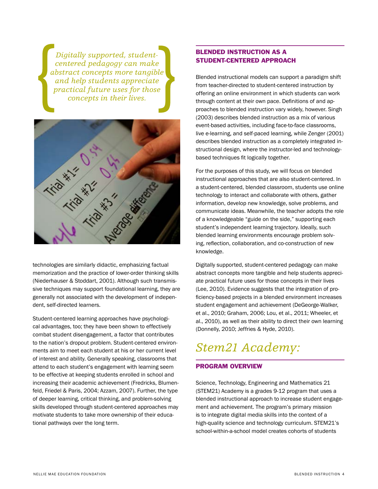*Digitally supported, studentcentered pedagogy can make abstract concepts more tangible and help students appreciate practical future uses for those concepts in their lives.*



technologies are similarly didactic, emphasizing factual memorization and the practice of lower-order thinking skills (Niederhauser & Stoddart, 2001). Although such transmissive techniques may support foundational learning, they are generally not associated with the development of independent, self-directed learners.

Student-centered learning approaches have psychological advantages, too; they have been shown to effectively combat student disengagement, a factor that contributes to the nation's dropout problem. Student-centered environments aim to meet each student at his or her current level of interest and ability. Generally speaking, classrooms that attend to each student's engagement with learning seem to be effective at keeping students enrolled in school and increasing their academic achievement (Fredricks, Blumenfeld, Friedel & Paris, 2004; Azzam, 2007). Further, the type of deeper learning, critical thinking, and problem-solving skills developed through student-centered approaches may motivate students to take more ownership of their educational pathways over the long term.

# BLENDED INSTRUCTION AS A STUDENT-CENTERED APPROACH

Blended instructional models can support a paradigm shift from teacher-directed to student-centered instruction by offering an online environment in which students can work through content at their own pace. Definitions of and approaches to blended instruction vary widely, however. Singh (2003) describes blended instruction as a mix of various event-based activities, including face-to-face classrooms, live e-learning, and self-paced learning, while Zenger (2001) describes blended instruction as a completely integrated instructional design, where the instructor-led and technologybased techniques fit logically together.

For the purposes of this study, we will focus on blended instructional approaches that are also student-centered. In a student-centered, blended classroom, students use online technology to interact and collaborate with others, gather information, develop new knowledge, solve problems, and communicate ideas. Meanwhile, the teacher adopts the role of a knowledgeable "guide on the side," supporting each student's independent learning trajectory. Ideally, such blended learning environments encourage problem solving, reflection, collaboration, and co-construction of new knowledge.

Digitally supported, student-centered pedagogy can make abstract concepts more tangible and help students appreciate practical future uses for those concepts in their lives (Lee, 2010). Evidence suggests that the integration of proficiency-based projects in a blended environment increases student engagement and achievement (DeGeorge-Walker, et al., 2010; Graham, 2006; Lou, et al., 2011; Wheeler, et al., 2010), as well as their ability to direct their own learning (Donnelly, 2010; Jeffries & Hyde, 2010).

# *Stem21 Academy:*

# PROGRAM OVERVIEW

Science, Technology, Engineering and Mathematics 21 (STEM21) Academy is a grades 9-12 program that uses a blended instructional approach to increase student engagement and achievement. The program's primary mission is to integrate digital media skills into the context of a high-quality science and technology curriculum. STEM21's school-within-a-school model creates cohorts of students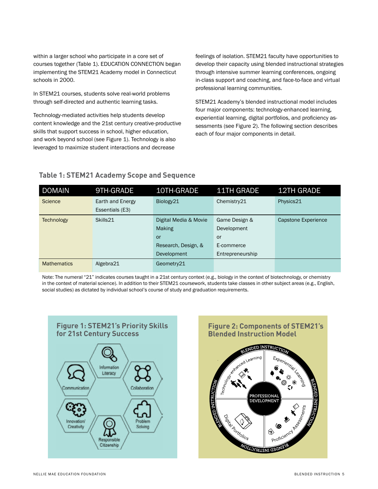within a larger school who participate in a core set of courses together (Table 1). EDUCATION CONNECTION began implementing the STEM21 Academy model in Connecticut schools in 2000.

In STEM21 courses, students solve real-world problems through self-directed and authentic learning tasks.

Technology-mediated activities help students develop content knowledge and the 21st century creative-productive skills that support success in school, higher education, and work beyond school (see Figure 1). Technology is also leveraged to maximize student interactions and decrease

feelings of isolation. STEM21 faculty have opportunities to develop their capacity using blended instructional strategies through intensive summer learning conferences, ongoing in-class support and coaching, and face-to-face and virtual professional learning communities.

STEM21 Academy's blended instructional model includes four major components: technology-enhanced learning, experiential learning, digital portfolios, and proficiency assessments (see Figure 2). The following section describes each of four major components in detail.

# **Table 1: STEM21 Academy Scope and Sequence**

| <b>DOMAIN</b>      | 9TH-GRADE        | 10TH-GRADE            | <b>11TH GRADE</b> | <b>12TH GRADE</b>   |
|--------------------|------------------|-----------------------|-------------------|---------------------|
| <b>Science</b>     | Earth and Energy | Biology21             | Chemistry21       | Physics21           |
|                    | Essentials (E3)  |                       |                   |                     |
| <b>Technology</b>  | Skills21         | Digital Media & Movie | Game Design &     | Capstone Experience |
|                    |                  | <b>Making</b>         | Development       |                     |
|                    |                  | or                    | or                |                     |
|                    |                  | Research, Design, &   | E-commerce        |                     |
|                    |                  | <b>Development</b>    | Entrepreneurship  |                     |
| <b>Mathematics</b> | Algebra21        | Geometry21            |                   |                     |

Note: The numeral "21" indicates courses taught in a 21st century context (e.g., biology in the context of biotechnology, or chemistry in the context of material science). In addition to their STEM21 coursework, students take classes in other subject areas (e.g., English, social studies) as dictated by individual school's course of study and graduation requirements.



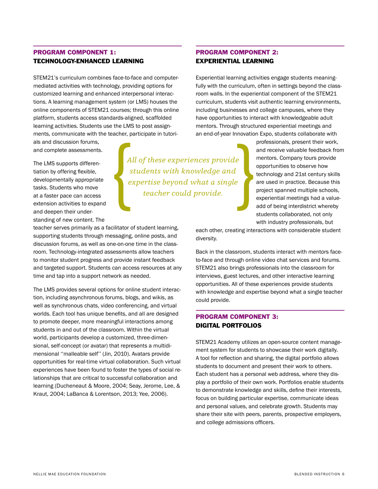# PROGRAM COMPONENT 1: TECHNOLOGY-ENHANCED LEARNING

STEM21's curriculum combines face-to-face and computermediated activities with technology, providing options for customized learning and enhanced interpersonal interactions. A learning management system (or LMS) houses the online components of STEM21 courses; through this online platform, students access standards-aligned, scaffolded learning activities. Students use the LMS to post assignments, communicate with the teacher, participate in tutori-

als and discussion forums, and complete assessments.

The LMS supports differentiation by offering flexible, developmentally appropriate tasks. Students who move at a faster pace can access extension activities to expand and deepen their understanding of new content. The

*All of these experiences provide students with knowledge and expertise beyond what a single teacher could provide.*

teacher serves primarily as a facilitator of student learning, supporting students through messaging, online posts, and discussion forums, as well as one-on-one time in the classroom. Technology-integrated assessments allow teachers to monitor student progress and provide instant feedback and targeted support. Students can access resources at any time and tap into a support network as needed.

The LMS provides several options for online student interaction, including asynchronous forums, blogs, and wikis, as well as synchronous chats, video conferencing, and virtual worlds. Each tool has unique benefits, and all are designed to promote deeper, more meaningful interactions among students in and out of the classroom. Within the virtual world, participants develop a customized, three-dimensional, self-concept (or avatar) that represents a multidimensional ''malleable self'' (Jin, 2010). Avatars provide opportunities for real-time virtual collaboration. Such virtual experiences have been found to foster the types of social relationships that are critical to successful collaboration and learning (Ducheneaut & Moore, 2004; Seay, Jerome, Lee, & Kraut, 2004; LaBanca & Lorentson, 2013; Yee, 2006).

# PROGRAM COMPONENT 2: EXPERIENTIAL LEARNING

Experiential learning activities engage students meaningfully with the curriculum, often in settings beyond the classroom walls. In the experiential component of the STEM21 curriculum, students visit authentic learning environments, including businesses and college campuses, where they have opportunities to interact with knowledgeable adult mentors. Through structured experiential meetings and an end-of-year Innovation Expo, students collaborate with

> professionals, present their work, and receive valuable feedback from mentors. Company tours provide opportunities to observe how technology and 21st century skills are used in practice. Because this project spanned multiple schools, experiential meetings had a valueadd of being interdistrict whereby students collaborated, not only with industry professionals, but

each other, creating interactions with considerable student diversity.

Back in the classroom, students interact with mentors faceto-face and through online video chat services and forums. STEM21 also brings professionals into the classroom for interviews, guest lectures, and other interactive learning opportunities. All of these experiences provide students with knowledge and expertise beyond what a single teacher could provide.

# PROGRAM COMPONENT 3: DIGITAL PORTFOLIOS

STEM21 Academy utilizes an open-source content management system for students to showcase their work digitally. A tool for reflection and sharing, the digital portfolio allows students to document and present their work to others. Each student has a personal web address, where they display a portfolio of their own work. Portfolios enable students to demonstrate knowledge and skills, define their interests, focus on building particular expertise, communicate ideas and personal values, and celebrate growth. Students may share their site with peers, parents, prospective employers, and college admissions officers.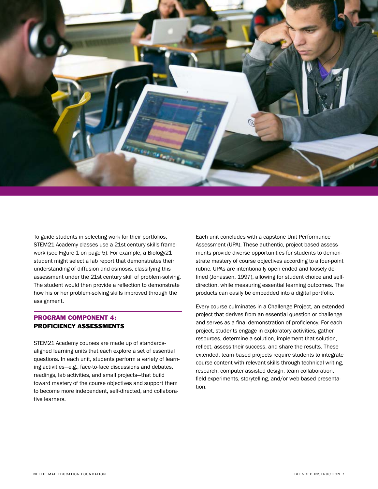

To guide students in selecting work for their portfolios, STEM21 Academy classes use a 21st century skills framework (see Figure 1 on page 5). For example, a Biology21 student might select a lab report that demonstrates their understanding of diffusion and osmosis, classifying this assessment under the 21st century skill of problem-solving. The student would then provide a reflection to demonstrate how his or her problem-solving skills improved through the assignment.

# PROGRAM COMPONENT 4: PROFICIENCY ASSESSMENTS

STEM21 Academy courses are made up of standardsaligned learning units that each explore a set of essential questions. In each unit, students perform a variety of learning activities—e.g., face-to-face discussions and debates, readings, lab activities, and small projects—that build toward mastery of the course objectives and support them to become more independent, self-directed, and collaborative learners.

Each unit concludes with a capstone Unit Performance Assessment (UPA). These authentic, project-based assessments provide diverse opportunities for students to demonstrate mastery of course objectives according to a four-point rubric. UPAs are intentionally open ended and loosely defined (Jonassen, 1997), allowing for student choice and selfdirection, while measuring essential learning outcomes. The products can easily be embedded into a digital portfolio.

Every course culminates in a Challenge Project, an extended project that derives from an essential question or challenge and serves as a final demonstration of proficiency. For each project, students engage in exploratory activities, gather resources, determine a solution, implement that solution, reflect, assess their success, and share the results. These extended, team-based projects require students to integrate course content with relevant skills through technical writing, research, computer-assisted design, team collaboration, field experiments, storytelling, and/or web-based presentation.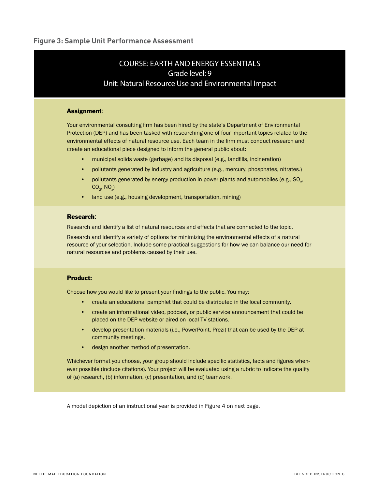# COURSE: EARTH AND ENERGY ESSENTIALS Grade level: 9 Unit: Natural Resource Use and Environmental Impact

#### Assignment:

Your environmental consulting firm has been hired by the state's Department of Environmental Protection (DEP) and has been tasked with researching one of four important topics related to the environmental effects of natural resource use. Each team in the firm must conduct research and create an educational piece designed to inform the general public about:

- municipal solids waste (garbage) and its disposal (e.g., landfills, incineration)
- pollutants generated by industry and agriculture (e.g., mercury, phosphates, nitrates.)
- pollutants generated by energy production in power plants and automobiles (e.g., SO<sub>2</sub>,  $\text{CO}_2^{\text{}}$ , NO<sub>x</sub>)
- land use (e.g., housing development, transportation, mining)

#### Research:

Research and identify a list of natural resources and effects that are connected to the topic.

Research and identify a variety of options for minimizing the environmental effects of a natural resource of your selection. Include some practical suggestions for how we can balance our need for natural resources and problems caused by their use.

### Product:

Choose how you would like to present your findings to the public. You may:

- create an educational pamphlet that could be distributed in the local community.
- create an informational video, podcast, or public service announcement that could be placed on the DEP website or aired on local TV stations.
- develop presentation materials (i.e., PowerPoint, Prezi) that can be used by the DEP at community meetings.
- design another method of presentation.

Whichever format you choose, your group should include specific statistics, facts and figures whenever possible (include citations). Your project will be evaluated using a rubric to indicate the quality of (a) research, (b) information, (c) presentation, and (d) teamwork.

A model depiction of an instructional year is provided in Figure 4 on next page.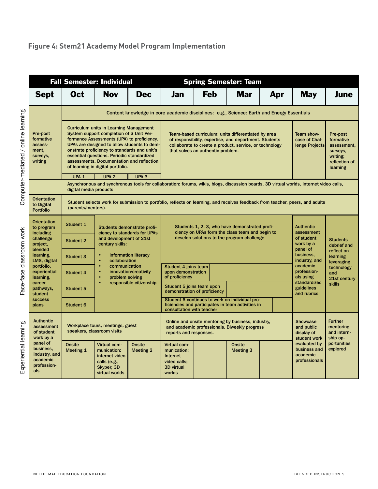# **Figure 4: Stem21 Academy Model Program Implementation**

|                                                                          |                                                                                                                                                                     | <b>Fall Semester: Individual</b>                                                                                                                                                                                                                                                                                                                                        |                                   |                                                                                                                                                                              | <b>Spring Semester: Team</b>                                                                                                                                                                                  |                                   |                                                                                                         |                                                                                                                                         |                                                                                           |  |  |
|--------------------------------------------------------------------------|---------------------------------------------------------------------------------------------------------------------------------------------------------------------|-------------------------------------------------------------------------------------------------------------------------------------------------------------------------------------------------------------------------------------------------------------------------------------------------------------------------------------------------------------------------|-----------------------------------|------------------------------------------------------------------------------------------------------------------------------------------------------------------------------|---------------------------------------------------------------------------------------------------------------------------------------------------------------------------------------------------------------|-----------------------------------|---------------------------------------------------------------------------------------------------------|-----------------------------------------------------------------------------------------------------------------------------------------|-------------------------------------------------------------------------------------------|--|--|
| <b>Sept</b>                                                              | Oct                                                                                                                                                                 | <b>Nov</b>                                                                                                                                                                                                                                                                                                                                                              | <b>Dec</b>                        | Jan                                                                                                                                                                          | <b>Feb</b>                                                                                                                                                                                                    | <b>Mar</b>                        | Apr                                                                                                     | <b>May</b>                                                                                                                              | <b>June</b>                                                                               |  |  |
|                                                                          | Content knowledge in core academic disciplines: e.g., Science: Earth and Energy Essentials                                                                          |                                                                                                                                                                                                                                                                                                                                                                         |                                   |                                                                                                                                                                              |                                                                                                                                                                                                               |                                   |                                                                                                         |                                                                                                                                         |                                                                                           |  |  |
| Pre-post<br>formative<br>assess-<br>ment,<br>surveys,<br>writing         |                                                                                                                                                                     | <b>Curriculum units in Learning Management</b><br>System support completion of 3 Unit Per-<br>formance Assessments (UPA) to proficiency.<br>UPAs are designed to allow students to dem-<br>onstrate proficiency to standards and unit's<br>essential questions. Periodic standardized<br>assessments. Documentation and reflection<br>of learning in digital portfolio. |                                   |                                                                                                                                                                              | Team-based curriculum: units differentiated by area<br>of responsibility, expertise, and department. Students<br>collaborate to create a product, service, or technology<br>that solves an authentic problem. |                                   |                                                                                                         | Team show-<br>case of Chal-<br>lenge Projects                                                                                           | Pre-post<br>formative<br>assessment,<br>surveys,<br>writing;<br>reflection of<br>learning |  |  |
|                                                                          | UPA <sub>1</sub><br>digital media products                                                                                                                          | UPA <sub>2</sub>                                                                                                                                                                                                                                                                                                                                                        | UPA <sub>3</sub>                  |                                                                                                                                                                              |                                                                                                                                                                                                               |                                   |                                                                                                         | Asynchronous and synchronous tools for collaboration: forums, wikis, blogs, discussion boards, 3D virtual worlds, Internet video calls, |                                                                                           |  |  |
| <b>Orientation</b><br>to Digital<br><b>Portfolio</b>                     | (parents/mentors).                                                                                                                                                  |                                                                                                                                                                                                                                                                                                                                                                         |                                   |                                                                                                                                                                              |                                                                                                                                                                                                               |                                   |                                                                                                         | Student selects work for submission to portfolio, reflects on learning, and receives feedback from teacher, peers, and adults           |                                                                                           |  |  |
| <b>Orientation</b><br>to program<br><b>including</b>                     | Student 1<br>Students demonstrate profi-<br>ciency to standards for UPAs<br>and development of 21st<br>challenge<br><b>Student 2</b><br>century skills:<br>project. |                                                                                                                                                                                                                                                                                                                                                                         |                                   | Students 1, 2, 3, who have demonstrated profi-<br>ciency on UPAs form the class team and begin to<br>develop solutions to the program challenge                              |                                                                                                                                                                                                               |                                   | <b>Authentic</b><br>assessment<br>of student<br><b>Students</b><br>work by a<br>debrief and<br>panel of |                                                                                                                                         |                                                                                           |  |  |
| blended                                                                  |                                                                                                                                                                     |                                                                                                                                                                                                                                                                                                                                                                         |                                   |                                                                                                                                                                              |                                                                                                                                                                                                               |                                   |                                                                                                         |                                                                                                                                         |                                                                                           |  |  |
| learning.<br>LMS, digital                                                | <b>Student 3</b>                                                                                                                                                    | collaboration                                                                                                                                                                                                                                                                                                                                                           | information literacy              |                                                                                                                                                                              |                                                                                                                                                                                                               |                                   | business,<br>industry, and                                                                              | reflect on<br>learning<br>leveraging                                                                                                    |                                                                                           |  |  |
| portfolio,<br>experiential<br>learning,                                  | <b>Student 4</b>                                                                                                                                                    | communication<br>$\bullet$<br>problem solving                                                                                                                                                                                                                                                                                                                           | innovation/creativity             | Student 4 joins team<br>upon demonstration<br>of proficiency                                                                                                                 |                                                                                                                                                                                                               |                                   |                                                                                                         | academic<br>profession-<br>als using<br>standardized<br>guidelines<br>and rubrics                                                       | technology<br>and<br>21st century<br><b>skills</b>                                        |  |  |
| career<br>pathways,<br>student                                           | <b>Student 5</b>                                                                                                                                                    |                                                                                                                                                                                                                                                                                                                                                                         | responsible citizenship           | Student 5 joins team upon                                                                                                                                                    | demonstration of proficiency                                                                                                                                                                                  |                                   |                                                                                                         |                                                                                                                                         |                                                                                           |  |  |
| <b>success</b><br>plans                                                  | Student 6                                                                                                                                                           |                                                                                                                                                                                                                                                                                                                                                                         |                                   | consultation with teacher                                                                                                                                                    | Student 6 continues to work on individual pro-<br>ficiencies and participates in team activities in                                                                                                           |                                   |                                                                                                         |                                                                                                                                         |                                                                                           |  |  |
| <b>Authentic</b><br>assessment<br>of student<br>work by a                | speakers, classroom visits                                                                                                                                          | Workplace tours, meetings, guest                                                                                                                                                                                                                                                                                                                                        |                                   | Online and onsite mentoring by business, industry,<br><b>Showcase</b><br>and academic professionals. Biweekly progress<br>and public<br>reports and responses.<br>display of |                                                                                                                                                                                                               | student work                      | <b>Further</b><br>mentoring<br>and intern-<br>ship op-                                                  |                                                                                                                                         |                                                                                           |  |  |
| panel of<br>business,<br>industry, and<br>academic<br>profession-<br>als | <b>Onsite</b><br>Meeting 1                                                                                                                                          | Virtual com-<br>munication:<br>internet video<br>calls (e.g.,<br>Skype); 3D<br>virtual worlds                                                                                                                                                                                                                                                                           | <b>Onsite</b><br><b>Meeting 2</b> | Virtual com-<br>munication:<br>Internet<br>video calls;<br>3D virtual<br>worlds                                                                                              |                                                                                                                                                                                                               | <b>Onsite</b><br><b>Meeting 3</b> |                                                                                                         | evaluated by<br>business and<br>academic<br>professionals                                                                               | portunities<br>explored                                                                   |  |  |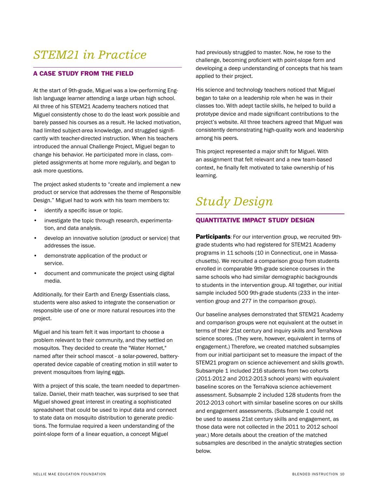# *STEM21 in Practice*

### A CASE STUDY FROM THE FIELD

At the start of 9th-grade, Miguel was a low-performing English language learner attending a large urban high school. All three of his STEM21 Academy teachers noticed that Miguel consistently chose to do the least work possible and barely passed his courses as a result. He lacked motivation, had limited subject-area knowledge, and struggled significantly with teacher-directed instruction. When his teachers introduced the annual Challenge Project, Miguel began to change his behavior. He participated more in class, completed assignments at home more regularly, and began to ask more questions.

The project asked students to "create and implement a new product or service that addresses the theme of Responsible Design." Miguel had to work with his team members to:

- identify a specific issue or topic.
- investigate the topic through research, experimentation, and data analysis.
- develop an innovative solution (product or service) that addresses the issue.
- demonstrate application of the product or service.
- document and communicate the project using digital media.

Additionally, for their Earth and Energy Essentials class, students were also asked to integrate the conservation or responsible use of one or more natural resources into the project.

Miguel and his team felt it was important to choose a problem relevant to their community, and they settled on mosquitos. They decided to create the "Water Hornet," named after their school mascot - a solar-powered, batteryoperated device capable of creating motion in still water to prevent mosquitoes from laying eggs.

With a project of this scale, the team needed to departmentalize. Daniel, their math teacher, was surprised to see that Miguel showed great interest in creating a sophisticated spreadsheet that could be used to input data and connect to state data on mosquito distribution to generate predictions. The formulae required a keen understanding of the point-slope form of a linear equation, a concept Miguel

had previously struggled to master. Now, he rose to the challenge, becoming proficient with point-slope form and developing a deep understanding of concepts that his team applied to their project.

His science and technology teachers noticed that Miguel began to take on a leadership role when he was in their classes too. With adept tactile skills, he helped to build a prototype device and made significant contributions to the project's website. All three teachers agreed that Miguel was consistently demonstrating high-quality work and leadership among his peers.

This project represented a major shift for Miguel. With an assignment that felt relevant and a new team-based context, he finally felt motivated to take ownership of his learning.

# *Study Design*

### QUANTITATIVE IMPACT STUDY DESIGN

**Participants:** For our intervention group, we recruited 9thgrade students who had registered for STEM21 Academy programs in 11 schools (10 in Connecticut, one in Massachusetts). We recruited a comparison group from students enrolled in comparable 9th-grade science courses in the same schools who had similar demographic backgrounds to students in the intervention group. All together, our initial sample included 500 9th-grade students (233 in the intervention group and 277 in the comparison group).

Our baseline analyses demonstrated that STEM21 Academy and comparison groups were not equivalent at the outset in terms of their 21st century and inquiry skills and TerraNova science scores. (They were, however, equivalent in terms of engagement.) Therefore, we created matched subsamples from our initial participant set to measure the impact of the STEM21 program on science achievement and skills growth. Subsample 1 included 216 students from two cohorts (2011-2012 and 2012-2013 school years) with equivalent baseline scores on the TerraNova science achievement assessment. Subsample 2 included 128 students from the 2012-2013 cohort with similar baseline scores on our skills and engagement assessments. (Subsample 1 could not be used to assess 21st century skills and engagement, as those data were not collected in the 2011 to 2012 school year.) More details about the creation of the matched subsamples are described in the analytic strategies section below.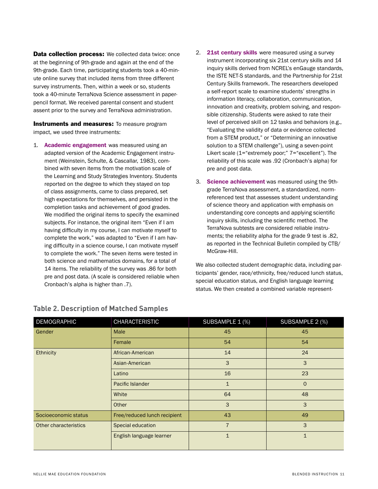**Data collection process:** We collected data twice: once at the beginning of 9th-grade and again at the end of the 9th-grade. Each time, participating students took a 40-minute online survey that included items from three different survey instruments. Then, within a week or so, students took a 40-minute TerraNova Science assessment in paperpencil format. We received parental consent and student assent prior to the survey and TerraNova administration.

**Instruments and measures:** To measure program impact, we used three instruments:

- 1. Academic engagement was measured using an adapted version of the Academic Engagement instrument (Weinstein, Schulte, & Cascallar, 1983), combined with seven items from the motivation scale of the Learning and Study Strategies Inventory. Students reported on the degree to which they stayed on top of class assignments, came to class prepared, set high expectations for themselves, and persisted in the completion tasks and achievement of good grades. We modified the original items to specify the examined subjects. For instance, the original item "Even if I am having difficulty in my course, I can motivate myself to complete the work," was adapted to "Even if I am having difficulty in a science course, I can motivate myself to complete the work." The seven items were tested in both science and mathematics domains, for a total of 14 items. The reliability of the survey was .86 for both pre and post data. (A scale is considered reliable when Cronbach's alpha is higher than .7).
- 2. 21st century skills were measured using a survey instrument incorporating six 21st century skills and 14 inquiry skills derived from NCREL's enGauge standards, the ISTE NET-S standards, and the Partnership for 21st Century Skills framework. The researchers developed a self-report scale to examine students' strengths in information literacy, collaboration, communication, innovation and creativity, problem solving, and responsible citizenship. Students were asked to rate their level of perceived skill on 12 tasks and behaviors (e.g., "Evaluating the validity of data or evidence collected from a STEM product," or "Determining an innovative solution to a STEM challenge"), using a seven-point Likert scale (1="extremely poor;" 7="excellent"). The reliability of this scale was .92 (Cronbach's alpha) for pre and post data.
- 3. Science achievement was measured using the 9thgrade TerraNova assessment, a standardized, normreferenced test that assesses student understanding of science theory and application with emphasis on understanding core concepts and applying scientific inquiry skills, including the scientific method. The TerraNova subtests are considered reliable instruments; the reliability alpha for the grade 9 test is .82, as reported in the Technical Bulletin compiled by CTB/ McGraw-Hill.

We also collected student demographic data, including participants' gender, race/ethnicity, free/reduced lunch status, special education status, and English language learning status. We then created a combined variable represent-

| <b>DEMOGRAPHIC</b>    | <b>CHARACTERISTIC</b>        | SUBSAMPLE 1 (%) | SUBSAMPLE 2 (%) |  |
|-----------------------|------------------------------|-----------------|-----------------|--|
| Gender                | Male                         | 45              | 45              |  |
|                       | Female                       | 54              | 54              |  |
| <b>Ethnicity</b>      | African-American             | 14              | 24              |  |
|                       | Asian-American               | 3               | 3               |  |
|                       | Latino                       | 16              | 23              |  |
|                       | Pacific Islander             | $\mathbf{1}$    | $\mathbf{O}$    |  |
|                       | White                        | 64              | 48              |  |
|                       | Other                        | 3               | 3               |  |
| Socioeconomic status  | Free/reduced lunch recipient | 43              | 49              |  |
| Other characteristics | Special education            | $\overline{7}$  | 3               |  |
|                       | English language learner     | $\mathbf{1}$    | $\mathbf{1}$    |  |

# **Table 2. Description of Matched Samples**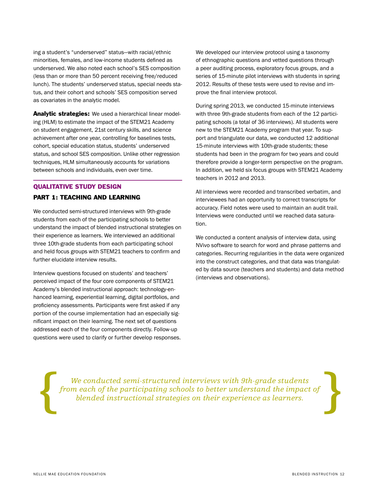ing a student's "underserved" status—with racial/ethnic minorities, females, and low-income students defined as underserved. We also noted each school's SES composition (less than or more than 50 percent receiving free/reduced lunch). The students' underserved status, special needs status, and their cohort and schools' SES composition served as covariates in the analytic model.

Analytic strategies: We used a hierarchical linear modeling (HLM) to estimate the impact of the STEM21 Academy on student engagement, 21st century skills, and science achievement after one year, controlling for baselines tests, cohort, special education status, students' underserved status, and school SES composition. Unlike other regression techniques, HLM simultaneously accounts for variations between schools and individuals, even over time.

### QUALITATIVE STUDY DESIGN

#### PART 1: TEACHING AND LEARNING

We conducted semi-structured interviews with 9th-grade students from each of the participating schools to better understand the impact of blended instructional strategies on their experience as learners. We interviewed an additional three 10th-grade students from each participating school and held focus groups with STEM21 teachers to confirm and further elucidate interview results.

Interview questions focused on students' and teachers' perceived impact of the four core components of STEM21 Academy's blended instructional approach: technology-enhanced learning, experiential learning, digital portfolios, and proficiency assessments. Participants were first asked if any portion of the course implementation had an especially significant impact on their learning. The next set of questions addressed each of the four components directly. Follow-up questions were used to clarify or further develop responses. We developed our interview protocol using a taxonomy of ethnographic questions and vetted questions through a peer auditing process, exploratory focus groups, and a series of 15-minute pilot interviews with students in spring 2012. Results of these tests were used to revise and improve the final interview protocol.

During spring 2013, we conducted 15-minute interviews with three 9th-grade students from each of the 12 participating schools (a total of 36 interviews). All students were new to the STEM21 Academy program that year. To support and triangulate our data, we conducted 12 additional 15-minute interviews with 10th-grade students; these students had been in the program for two years and could therefore provide a longer-term perspective on the program. In addition, we held six focus groups with STEM21 Academy teachers in 2012 and 2013.

All interviews were recorded and transcribed verbatim, and interviewees had an opportunity to correct transcripts for accuracy. Field notes were used to maintain an audit trail. Interviews were conducted until we reached data saturation.

We conducted a content analysis of interview data, using NVivo software to search for word and phrase patterns and categories. Recurring regularities in the data were organized into the construct categories, and that data was triangulated by data source (teachers and students) and data method (interviews and observations).

*We conducted semi-structured interviews with 9th-grade students from each of the participating schools to better understand the impact of blended instructional strategies on their experience as learners.*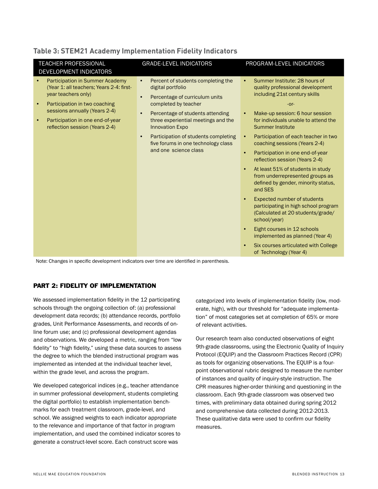| TEACHER PROFESSIONAL<br>DEVELOPMENT INDICATORS                                                                                                                                                                                                                              | <b>GRADE-LEVEL INDICATORS</b>                                                                                                                                                                                                                                                                                                                                                      | PROGRAM-LEVEL INDICATORS                                                                                                                                                                                                                                                                                                                                                                                                                                                                                                                                                                                                                                                                                                                                                                                                                                                   |
|-----------------------------------------------------------------------------------------------------------------------------------------------------------------------------------------------------------------------------------------------------------------------------|------------------------------------------------------------------------------------------------------------------------------------------------------------------------------------------------------------------------------------------------------------------------------------------------------------------------------------------------------------------------------------|----------------------------------------------------------------------------------------------------------------------------------------------------------------------------------------------------------------------------------------------------------------------------------------------------------------------------------------------------------------------------------------------------------------------------------------------------------------------------------------------------------------------------------------------------------------------------------------------------------------------------------------------------------------------------------------------------------------------------------------------------------------------------------------------------------------------------------------------------------------------------|
| <b>Participation in Summer Academy</b><br>(Year 1: all teachers; Years 2-4: first-<br>year teachers only)<br>Participation in two coaching<br>$\bullet$<br>sessions annually (Years 2-4)<br>Participation in one end-of-year<br>$\bullet$<br>reflection session (Years 2-4) | Percent of students completing the<br>$\bullet$<br>digital portfolio<br>Percentage of curriculum units<br>$\bullet$<br>completed by teacher<br>Percentage of students attending<br>$\bullet$<br>three experiential meetings and the<br><b>Innovation Expo</b><br>Participation of students completing<br>$\bullet$<br>five forums in one technology class<br>and one science class | Summer Institute: 28 hours of<br>$\bullet$<br>quality professional development<br>including 21st century skills<br>$-0r-$<br>Make-up session: 6 hour session<br>$\bullet$<br>for individuals unable to attend the<br><b>Summer Institute</b><br>Participation of each teacher in two<br>$\bullet$<br>coaching sessions (Years 2-4)<br>Participation in one end-of-year<br>$\bullet$<br>reflection session (Years 2-4)<br>At least 51% of students in study<br>$\bullet$<br>from underrepresented groups as<br>defined by gender, minority status,<br>and SES<br><b>Expected number of students</b><br>$\bullet$<br>participating in high school program<br>(Calculated at 20 students/grade/<br>school/year)<br>Eight courses in 12 schools<br>$\bullet$<br>implemented as planned (Year 4)<br>Six courses articulated with College<br>$\bullet$<br>of Technology (Year 4) |

# **Table 3: STEM21 Academy Implementation Fidelity Indicators**

Note: Changes in specific development indicators over time are identified in parenthesis.

# PART 2: FIDELITY OF IMPLEMENTATION

We assessed implementation fidelity in the 12 participating schools through the ongoing collection of: (a) professional development data records; (b) attendance records, portfolio grades, Unit Performance Assessments, and records of online forum use; and (c) professional development agendas and observations. We developed a metric, ranging from "low fidelity" to "high fidelity," using these data sources to assess the degree to which the blended instructional program was implemented as intended at the individual teacher level, within the grade level, and across the program.

We developed categorical indices (e.g., teacher attendance in summer professional development, students completing the digital portfolio) to establish implementation benchmarks for each treatment classroom, grade-level, and school. We assigned weights to each indicator appropriate to the relevance and importance of that factor in program implementation, and used the combined indicator scores to generate a construct-level score. Each construct score was

categorized into levels of implementation fidelity (low, moderate, high), with our threshold for "adequate implementation" of most categories set at completion of 65% or more of relevant activities.

Our research team also conducted observations of eight 9th-grade classrooms, using the Electronic Quality of Inquiry Protocol (EQUIP) and the Classroom Practices Record (CPR) as tools for organizing observations. The EQUIP is a fourpoint observational rubric designed to measure the number of instances and quality of inquiry-style instruction. The CPR measures higher-order thinking and questioning in the classroom. Each 9th-grade classroom was observed two times, with preliminary data obtained during spring 2012 and comprehensive data collected during 2012-2013. These qualitative data were used to confirm our fidelity measures.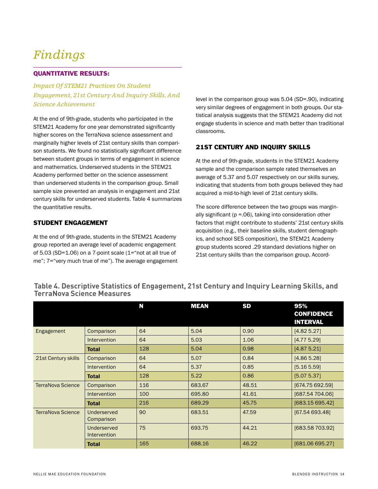# *Findings*

### QUANTITATIVE RESULTS:

*Impact Of STEM21 Practices On Student Engagement, 21st Century And Inquiry Skills, And Science Achievement*

At the end of 9th-grade, students who participated in the STEM21 Academy for one year demonstrated significantly higher scores on the TerraNova science assessment and marginally higher levels of 21st century skills than comparison students. We found no statistically significant difference between student groups in terms of engagement in science and mathematics. Underserved students in the STEM21 Academy performed better on the science assessment than underserved students in the comparison group. Small sample size prevented an analysis in engagement and 21st century skills for underserved students. Table 4 summarizes the quantitative results.

### STUDENT ENGAGEMENT

At the end of 9th-grade, students in the STEM21 Academy group reported an average level of academic engagement of 5.03 (SD=1.06) on a 7-point scale (1="not at all true of me"; 7="very much true of me"). The average engagement

level in the comparison group was 5.04 (SD=.90), indicating very similar degrees of engagement in both groups. Our statistical analysis suggests that the STEM21 Academy did not engage students in science and math better than traditional classrooms.

# 21ST CENTURY AND INQUIRY SKILLS

At the end of 9th-grade, students in the STEM21 Academy sample and the comparison sample rated themselves an average of 5.37 and 5.07 respectively on our skills survey, indicating that students from both groups believed they had acquired a mid-to-high level of 21st century skills.

The score difference between the two groups was marginally significant (p =.06), taking into consideration other factors that might contribute to students' 21st century skills acquisition (e.g., their baseline skills, student demographics, and school SES composition), the STEM21 Academy group students scored .29 standard deviations higher on 21st century skills than the comparison group. Accord-

# **Table 4. Descriptive Statistics of Engagement, 21st Century and Inquiry Learning Skills, and TerraNova Science Measures**

|                          |                                    | N   | <b>MEAN</b> | <b>SD</b> | 95%<br><b>CONFIDENCE</b><br><b>INTERVAL</b> |
|--------------------------|------------------------------------|-----|-------------|-----------|---------------------------------------------|
| Engagement               | Comparison                         | 64  | 5.04        | 0.90      | [4.825.27]                                  |
|                          | <b>Intervention</b>                | 64  | 5.03        | 1.06      | [4.775.29]                                  |
|                          | <b>Total</b>                       | 128 | 5.04        | 0.98      | [4.875.21]                                  |
| 21st Century skills      | Comparison                         | 64  | 5.07        | 0.84      | [4.865.28]                                  |
|                          | <b>Intervention</b>                | 64  | 5.37        | 0.85      | [5.16 5.59]                                 |
|                          | <b>Total</b>                       | 128 | 5.22        | 0.86      | [5.07 5.37]                                 |
| <b>TerraNova Science</b> | Comparison                         | 116 | 683.67      | 48.51     | [674.75 692.59]                             |
|                          | <b>Intervention</b>                | 100 | 695.80      | 41.61     | [687.54 704.06]                             |
|                          | <b>Total</b>                       | 216 | 689.29      | 45.75     | [683.15 695.42]                             |
| <b>TerraNova Science</b> | Underserved<br>Comparison          | 90  | 683.51      | 47.59     | [67.54 693.48]                              |
|                          | Underserved<br><b>Intervention</b> | 75  | 693.75      | 44.21     | [683.58 703.92]                             |
|                          | <b>Total</b>                       | 165 | 688.16      | 46.22     | [681.06 695.27]                             |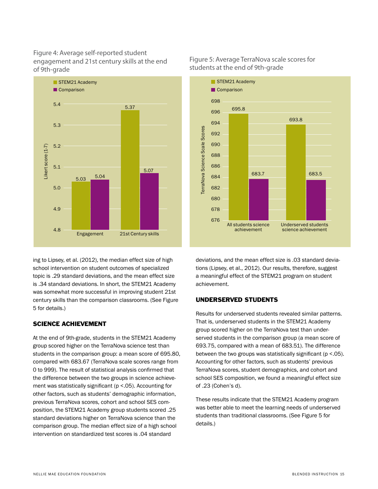Figure 4: Average self-reported student engagement and 21st century skills at the end of 9th-grade



ing to Lipsey, et al. (2012), the median effect size of high school intervention on student outcomes of specialized topic is .29 standard deviations, and the mean effect size is .34 standard deviations. In short, the STEM21 Academy was somewhat more successful in improving student 21st century skills than the comparison classrooms. (See Figure 5 for details.)

# SCIENCE ACHIEVEMENT

At the end of 9th-grade, students in the STEM21 Academy group scored higher on the TerraNova science test than students in the comparison group: a mean score of 695.80, compared with 683.67 (TerraNova scale scores range from 0 to 999). The result of statistical analysis confirmed that the difference between the two groups in science achievement was statistically significant (p <.05). Accounting for other factors, such as students' demographic information, previous TerraNova scores, cohort and school SES composition, the STEM21 Academy group students scored .25 standard deviations higher on TerraNova science than the comparison group. The median effect size of a high school intervention on standardized test scores is .04 standard

# Figure 5: Average TerraNova scale scores for students at the end of 9th-grade



deviations, and the mean effect size is .03 standard deviations (Lipsey, et al., 2012). Our results, therefore, suggest a meaningful effect of the STEM21 program on student achievement.

### UNDERSERVED STUDENTS

Results for underserved students revealed similar patterns. That is, underserved students in the STEM21 Academy group scored higher on the TerraNova test than underserved students in the comparison group (a mean score of 693.75, compared with a mean of 683.51). The difference between the two groups was statistically significant ( $p < 05$ ). Accounting for other factors, such as students' previous TerraNova scores, student demographics, and cohort and school SES composition, we found a meaningful effect size of .23 (Cohen's d).

These results indicate that the STEM21 Academy program was better able to meet the learning needs of underserved students than traditional classrooms. (See Figure 5 for details.)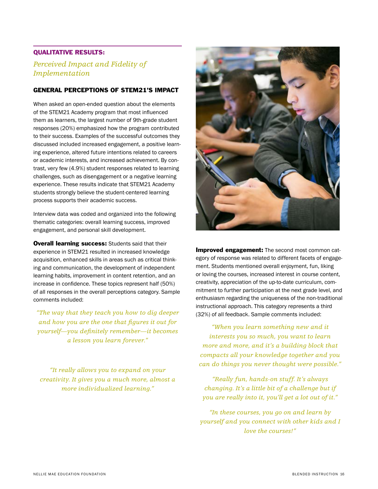# QUALITATIVE RESULTS:

# *Perceived Impact and Fidelity of Implementation*

#### GENERAL PERCEPTIONS OF STEM21'S IMPACT

When asked an open-ended question about the elements of the STEM21 Academy program that most influenced them as learners, the largest number of 9th-grade student responses (20%) emphasized how the program contributed to their success. Examples of the successful outcomes they discussed included increased engagement, a positive learning experience, altered future intentions related to careers or academic interests, and increased achievement. By contrast, very few (4.9%) student responses related to learning challenges, such as disengagement or a negative learning experience. These results indicate that STEM21 Academy students strongly believe the student-centered learning process supports their academic success.

Interview data was coded and organized into the following thematic categories: overall learning success, improved engagement, and personal skill development.

**Overall learning success:** Students said that their experience in STEM21 resulted in increased knowledge acquisition, enhanced skills in areas such as critical thinking and communication, the development of independent learning habits, improvement in content retention, and an increase in confidence. These topics represent half (50%) of all responses in the overall perceptions category. Sample comments included:

*"The way that they teach you how to dig deeper and how you are the one that figures it out for yourself—you definitely remember—it becomes a lesson you learn forever."*

*"It really allows you to expand on your creativity. It gives you a much more, almost a more individualized learning."*



**Improved engagement:** The second most common category of response was related to different facets of engagement. Students mentioned overall enjoyment, fun, liking or loving the courses, increased interest in course content, creativity, appreciation of the up-to-date curriculum, commitment to further participation at the next grade level, and enthusiasm regarding the uniqueness of the non-traditional instructional approach. This category represents a third (32%) of all feedback. Sample comments included:

*"When you learn something new and it interests you so much, you want to learn more and more, and it's a building block that compacts all your knowledge together and you can do things you never thought were possible."*

*"Really fun, hands-on stuff. It's always changing. It's a little bit of a challenge but if you are really into it, you'll get a lot out of it."*

*"In these courses, you go on and learn by yourself and you connect with other kids and I love the courses!"*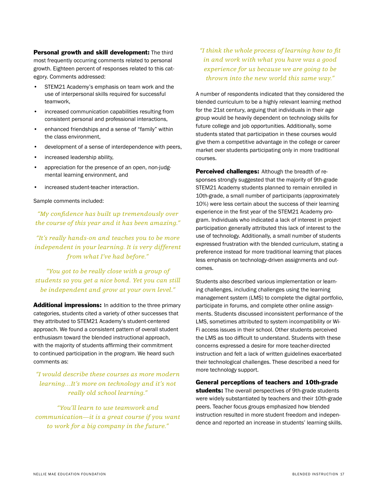Personal growth and skill development: The third most frequently occurring comments related to personal growth. Eighteen percent of responses related to this category. Comments addressed:

- STEM21 Academy's emphasis on team work and the use of interpersonal skills required for successful teamwork,
- increased communication capabilities resulting from consistent personal and professional interactions,
- enhanced friendships and a sense of "family" within the class environment,
- development of a sense of interdependence with peers,
- increased leadership ability,
- appreciation for the presence of an open, non-judgmental learning environment, and
- increased student-teacher interaction.

#### Sample comments included:

*"My confidence has built up tremendously over the course of this year and it has been amazing."*

*"It's really hands-on and teaches you to be more independent in your learning. It is very different from what I've had before."*

*"You got to be really close with a group of students so you get a nice bond. Yet you can still be independent and grow at your own level."*

Additional impressions: In addition to the three primary categories, students cited a variety of other successes that they attributed to STEM21 Academy's student-centered approach. We found a consistent pattern of overall student enthusiasm toward the blended instructional approach, with the majority of students affirming their commitment to continued participation in the program. We heard such comments as:

# *"I would describe these courses as more modern learning…It's more on technology and it's not really old school learning."*

*"You'll learn to use teamwork and communication—it is a great course if you want to work for a big company in the future."*

# *"I think the whole process of learning how to fit in and work with what you have was a good experience for us because we are going to be thrown into the new world this same way."*

A number of respondents indicated that they considered the blended curriculum to be a highly relevant learning method for the 21st century, arguing that individuals in their age group would be heavily dependent on technology skills for future college and job opportunities. Additionally, some students stated that participation in these courses would give them a competitive advantage in the college or career market over students participating only in more traditional courses.

Perceived challenges: Although the breadth of responses strongly suggested that the majority of 9th-grade STEM21 Academy students planned to remain enrolled in 10th-grade, a small number of participants (approximately 10%) were less certain about the success of their learning experience in the first year of the STEM21 Academy program. Individuals who indicated a lack of interest in project participation generally attributed this lack of interest to the use of technology. Additionally, a small number of students expressed frustration with the blended curriculum, stating a preference instead for more traditional learning that places less emphasis on technology-driven assignments and outcomes.

Students also described various implementation or learning challenges, including challenges using the learning management system (LMS) to complete the digital portfolio, participate in forums, and complete other online assignments. Students discussed inconsistent performance of the LMS, sometimes attributed to system incompatibility or Wi-Fi access issues in their school. Other students perceived the LMS as too difficult to understand. Students with these concerns expressed a desire for more teacher-directed instruction and felt a lack of written guidelines exacerbated their technological challenges. These described a need for more technology support.

General perceptions of teachers and 10th-grade students: The overall perspectives of 9th-grade students were widely substantiated by teachers and their 10th-grade peers. Teacher focus groups emphasized how blended instruction resulted in more student freedom and independence and reported an increase in students' learning skills.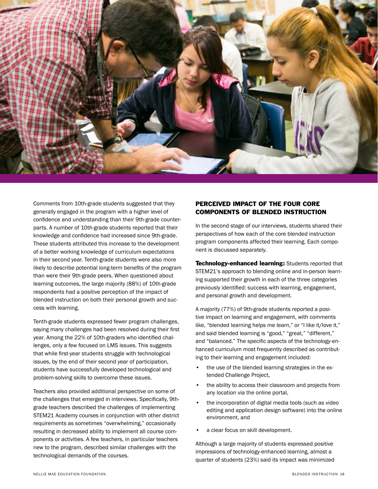

Comments from 10th-grade students suggested that they generally engaged in the program with a higher level of confidence and understanding than their 9th-grade counterparts. A number of 10th-grade students reported that their knowledge and confidence had increased since 9th-grade. These students attributed this increase to the development of a better working knowledge of curriculum expectations in their second year. Tenth-grade students were also more likely to describe potential long-term benefits of the program than were their 9th-grade peers. When questioned about learning outcomes, the large majority (88%) of 10th-grade respondents had a positive perception of the impact of blended instruction on both their personal growth and success with learning.

Tenth-grade students expressed fewer program challenges, saying many challenges had been resolved during their first year. Among the 22% of 10th-graders who identified challenges, only a few focused on LMS issues. This suggests that while first-year students struggle with technological issues, by the end of their second year of participation, students have successfully developed technological and problem-solving skills to overcome these issues.

Teachers also provided additional perspective on some of the challenges that emerged in interviews. Specifically, 9thgrade teachers described the challenges of implementing STEM21 Academy courses in conjunction with other district requirements as sometimes "overwhelming," occasionally resulting in decreased ability to implement all course components or activities. A few teachers, in particular teachers new to the program, described similar challenges with the technological demands of the courses.

# PERCEIVED IMPACT OF THE FOUR CORE COMPONENTS OF BLENDED INSTRUCTION

In the second stage of our interviews, students shared their perspectives of how each of the core blended instruction program components affected their learning. Each component is discussed separately.

**Technology-enhanced learning: Students reported that** STEM21's approach to blending online and in-person learning supported their growth in each of the three categories previously identified: success with learning, engagement, and personal growth and development.

A majority (77%) of 9th-grade students reported a positive impact on learning and engagement, with comments like, "blended learning helps me learn," or "I like it/love it," and said blended learning is "good," "great," "different," and "balanced." The specific aspects of the technology-enhanced curriculum most frequently described as contributing to their learning and engagement included:

- the use of the blended learning strategies in the extended Challenge Project,
- the ability to access their classroom and projects from any location via the online portal,
- the incorporation of digital media tools (such as video editing and application design software) into the online environment, and
- a clear focus on skill development.

Although a large majority of students expressed positive impressions of technology-enhanced learning, almost a quarter of students (23%) said its impact was minimized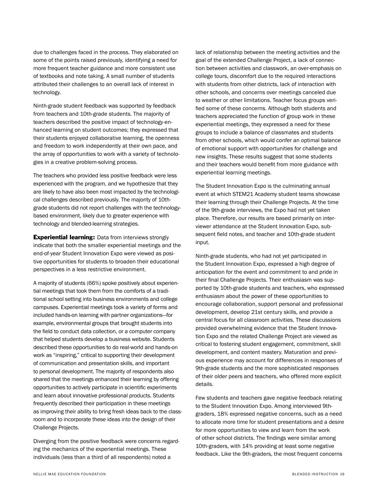due to challenges faced in the process. They elaborated on some of the points raised previously, identifying a need for more frequent teacher guidance and more consistent use of textbooks and note taking. A small number of students attributed their challenges to an overall lack of interest in technology.

Ninth-grade student feedback was supported by feedback from teachers and 10th-grade students. The majority of teachers described the positive impact of technology-enhanced learning on student outcomes; they expressed that their students enjoyed collaborative learning, the openness and freedom to work independently at their own pace, and the array of opportunities to work with a variety of technologies in a creative problem-solving process.

The teachers who provided less positive feedback were less experienced with the program, and we hypothesize that they are likely to have also been most impacted by the technological challenges described previously. The majority of 10thgrade students did not report challenges with the technologybased environment, likely due to greater experience with technology and blended-learning strategies.

**Experiential learning:** Data from interviews strongly indicate that both the smaller experiential meetings and the end-of-year Student Innovation Expo were viewed as positive opportunities for students to broaden their educational perspectives in a less restrictive environment.

A majority of students (66%) spoke positively about experiential meetings that took them from the comforts of a traditional school setting into business environments and college campuses. Experiential meetings took a variety of forms and included hands-on learning with partner organizations—for example, environmental groups that brought students into the field to conduct data collection, or a computer company that helped students develop a business website. Students described these opportunities to do real-world and hands-on work as "inspiring," critical to supporting their development of communication and presentation skills, and important to personal development. The majority of respondents also shared that the meetings enhanced their learning by offering opportunities to actively participate in scientific experiments and learn about innovative professional products. Students frequently described their participation in these meetings as improving their ability to bring fresh ideas back to the classroom and to incorporate these ideas into the design of their Challenge Projects.

Diverging from the positive feedback were concerns regarding the mechanics of the experiential meetings. These individuals (less than a third of all respondents) noted a

lack of relationship between the meeting activities and the goal of the extended Challenge Project, a lack of connection between activities and classwork, an over-emphasis on college tours, discomfort due to the required interactions with students from other districts, lack of interaction with other schools, and concerns over meetings canceled due to weather or other limitations. Teacher focus groups verified some of these concerns. Although both students and teachers appreciated the function of group work in these experiential meetings, they expressed a need for these groups to include a balance of classmates and students from other schools, which would confer an optimal balance of emotional support with opportunities for challenge and new insights. These results suggest that some students and their teachers would benefit from more guidance with experiential learning meetings.

The Student Innovation Expo is the culminating annual event at which STEM21 Academy student teams showcase their learning through their Challenge Projects. At the time of the 9th-grade interviews, the Expo had not yet taken place. Therefore, our results are based primarily on interviewer attendance at the Student Innovation Expo, subsequent field notes, and teacher and 10th-grade student input.

Ninth-grade students, who had not yet participated in the Student Innovation Expo, expressed a high degree of anticipation for the event and commitment to and pride in their final Challenge Projects. Their enthusiasm was supported by 10th-grade students and teachers, who expressed enthusiasm about the power of these opportunities to encourage collaboration, support personal and professional development, develop 21st century skills, and provide a central focus for all classroom activities. These discussions provided overwhelming evidence that the Student Innovation Expo and the related Challenge Project are viewed as critical to fostering student engagement, commitment, skill development, and content mastery. Maturation and previous experience may account for differences in responses of 9th-grade students and the more sophisticated responses of their older peers and teachers, who offered more explicit details.

Few students and teachers gave negative feedback relating to the Student Innovation Expo. Among interviewed 9thgraders, 18% expressed negative concerns, such as a need to allocate more time for student presentations and a desire for more opportunities to view and learn from the work of other school districts. The findings were similar among 10th-graders, with 14% providing at least some negative feedback. Like the 9th-graders, the most frequent concerns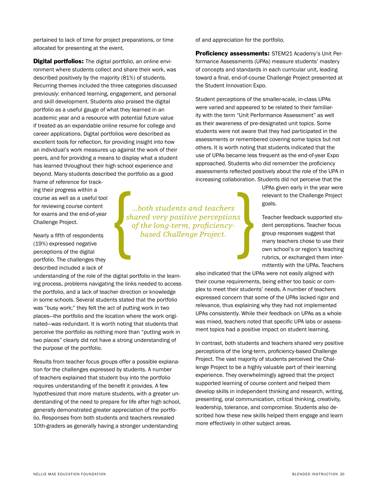pertained to lack of time for project preparations, or time allocated for presenting at the event.

**Digital portfolios:** The digital portfolio, an online environment where students collect and share their work, was described positively by the majority (81%) of students. Recurring themes included the three categories discussed previously: enhanced learning, engagement, and personal and skill development. Students also praised the digital portfolio as a useful gauge of what they learned in an academic year and a resource with potential future value if treated as an expandable online resume for college and career applications. Digital portfolios were described as excellent tools for reflection, for providing insight into how an individual's work measures up against the work of their peers, and for providing a means to display what a student has learned throughout their high school experience and beyond. Many students described the portfolio as a good

frame of reference for tracking their progress within a course as well as a useful tool for reviewing course content for exams and the end-of-year Challenge Project.

Nearly a fifth of respondents (19%) expressed negative perceptions of the digital portfolio. The challenges they described included a lack of

understanding of the role of the digital portfolio in the learning process, problems navigating the links needed to access the portfolio, and a lack of teacher direction or knowledge in some schools. Several students stated that the portfolio was "busy work;" they felt the act of putting work in two places—the portfolio and the location where the work originated—was redundant. It is worth noting that students that perceive the portfolio as nothing more than "putting work in two places" clearly did not have a strong understanding of the purpose of the portfolio.

Results from teacher focus groups offer a possible explanation for the challenges expressed by students. A number of teachers explained that student buy into the portfolio requires understanding of the benefit it provides. A few hypothesized that more mature students, with a greater understanding of the need to prepare for life after high school, generally demonstrated greater appreciation of the portfolio. Responses from both students and teachers revealed 10th-graders as generally having a stronger understanding

*...both students and teachers shared very positive perceptions of the long-term, proficiencybased Challenge Project.* 

of and appreciation for the portfolio.

Proficiency assessments: STEM21 Academy's Unit Performance Assessments (UPAs) measure students' mastery of concepts and standards in each curricular unit, leading toward a final, end-of-course Challenge Project presented at the Student Innovation Expo.

Student perceptions of the smaller-scale, in-class UPAs were varied and appeared to be related to their familiarity with the term "Unit Performance Assessment" as well as their awareness of pre-designated unit topics. Some students were not aware that they had participated in the assessments or remembered covering some topics but not others. It is worth noting that students indicated that the use of UPAs became less frequent as the end-of-year Expo approached. Students who did remember the proficiency assessments reflected positively about the role of the UPA in increasing collaboration. Students did not perceive that the

> UPAs given early in the year were relevant to the Challenge Project goals.

Teacher feedback supported student perceptions. Teacher focus group responses suggest that many teachers chose to use their own school's or region's teaching rubrics, or exchanged them intermittently with the UPAs. Teachers

also indicated that the UPAs were not easily aligned with their course requirements, being either too basic or complex to meet their students' needs. A number of teachers expressed concern that some of the UPAs lacked rigor and relevance, thus explaining why they had not implemented UPAs consistently. While their feedback on UPAs as a whole was mixed, teachers noted that specific UPA labs or assessment topics had a positive impact on student learning.

In contrast, both students and teachers shared very positive perceptions of the long-term, proficiency-based Challenge Project. The vast majority of students perceived the Challenge Project to be a highly valuable part of their learning experience. They overwhelmingly agreed that the project supported learning of course content and helped them develop skills in independent thinking and research, writing, presenting, oral communication, critical thinking, creativity, leadership, tolerance, and compromise. Students also described how these new skills helped them engage and learn more effectively in other subject areas.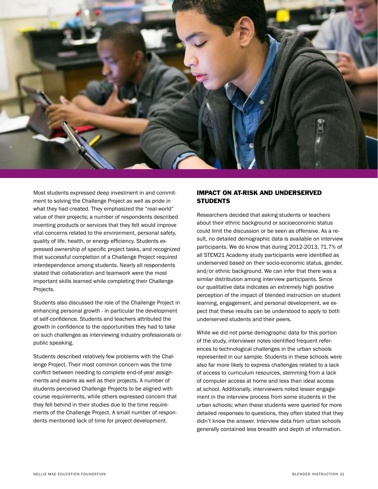

Most students expressed deep investment in and commitment to solving the Challenge Project as well as pride in what they had created. They emphasized the "real-world" value of their projects; a number of respondents described inventing products or services that they felt would improve vital concerns related to the environment, personal safety, quality of life, health, or energy efficiency. Students expressed ownership of specific project tasks, and recognized that successful completion of a Challenge Project required interdependence among students. Nearly all respondents stated that collaboration and teamwork were the most important skills learned while completing their Challenge Projects.

Students also discussed the role of the Challenge Project in enhancing personal growth - in particular the development of self-confidence. Students and teachers attributed the growth in confidence to the opportunities they had to take on such challenges as interviewing industry professionals or public speaking.

Students described relatively few problems with the Challenge Project. Their most common concern was the time conflict between needing to complete end-of-year assignments and exams as well as their projects. A number of students perceived Challenge Projects to be aligned with course requirements, while others expressed concern that they fell behind in their studies due to the time requirements of the Challenge Project. A small number of respondents mentioned lack of time for project development.

# IMPACT ON AT-RISK AND UNDERSERVED **STUDENTS**

Researchers decided that asking students or teachers about their ethnic background or socioeconomic status could limit the discussion or be seen as offensive. As a result, no detailed demographic data is available on interview participants. We do know that during 2012-2013, 71.7% of all STEM21 Academy study participants were identified as underserved based on their socio-economic status, gender, and/or ethnic background. We can infer that there was a similar distribution among interview participants. Since our qualitative data indicates an extremely high positive perception of the impact of blended instruction on student learning, engagement, and personal development, we expect that these results can be understood to apply to both underserved students and their peers.

While we did not parse demographic data for this portion of the study, interviewer notes identified frequent references to technological challenges in the urban schools represented in our sample. Students in these schools were also far more likely to express challenges related to a lack of access to curriculum resources, stemming from a lack of computer access at home and less than ideal access at school. Additionally, interviewers noted lesser engagement in the interview process from some students in the urban schools; when these students were queried for more detailed responses to questions, they often stated that they didn't know the answer. Interview data from urban schools generally contained less breadth and depth of information.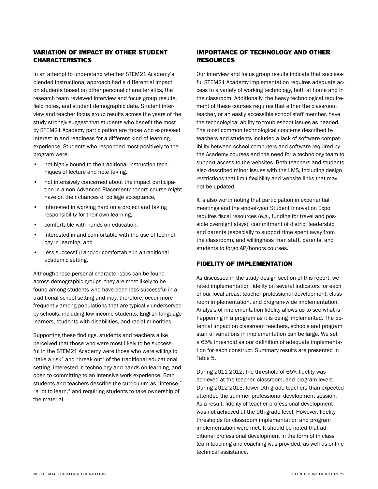### VARIATION OF IMPACT BY OTHER STUDENT CHARACTERISTICS

In an attempt to understand whether STEM21 Academy's blended instructional approach had a differential impact on students based on other personal characteristics, the research team reviewed interview and focus group results, field notes, and student demographic data. Student interview and teacher focus group results across the years of the study strongly suggest that students who benefit the most by STEM21 Academy participation are those who expressed interest in and readiness for a different kind of learning experience. Students who responded most positively to the program were:

- not highly bound to the traditional instruction techniques of lecture and note taking,
- not intensively concerned about the impact participation in a non-Advanced Placement/honors course might have on their chances of college acceptance,
- interested in working hard on a project and taking responsibility for their own learning,
- comfortable with hands-on education,
- interested in and comfortable with the use of technology in learning, and
- less successful and/or comfortable in a traditional academic setting.

Although these personal characteristics can be found across demographic groups, they are most likely to be found among students who have been less successful in a traditional school setting and may, therefore, occur more frequently among populations that are typically underserved by schools, including low-income students, English language learners, students with disabilities, and racial minorities.

Supporting these findings, students and teachers alike perceived that those who were most likely to be successful in the STEM21 Academy were those who were willing to "take a risk" and "break out" of the traditional educational setting, interested in technology and hands-on learning, and open to committing to an intensive work experience. Both students and teachers describe the curriculum as "intense," "a lot to learn," and requiring students to take ownership of the material.

# IMPORTANCE OF TECHNOLOGY AND OTHER **RESOURCES**

Our interview and focus group results indicate that successful STEM21 Academy implementation requires adequate access to a variety of working technology, both at home and in the classroom. Additionally, the heavy technological requirement of these courses requires that either the classroom teacher, or an easily accessible school staff member, have the technological ability to troubleshoot issues as needed. The most common technological concerns described by teachers and students included a lack of software compatibility between school computers and software required by the Academy courses and the need for a technology team to support access to the websites. Both teachers and students also described minor issues with the LMS, including design restrictions that limit flexibility and website links that may not be updated.

It is also worth noting that participation in experiential meetings and the end-of-year Student Innovation Expo requires fiscal resources (e.g., funding for travel and possible overnight stays), commitment of district leadership and parents (especially to support time spent away from the classroom), and willingness from staff, parents, and students to forgo AP/honors courses.

# FIDELITY OF IMPLEMENTATION

As discussed in the study design section of this report, we rated implementation fidelity on several indicators for each of our focal areas: teacher professional development, classroom implementation, and program-wide implementation. Analysis of implementation fidelity allows us to see what is happening in a program as it is being implemented. The potential impact on classroom teachers, schools and program staff of variations in implementation can be large. We set a 65% threshold as our definition of adequate implementation for each construct. Summary results are presented in Table 5.

During 2011-2012, the threshold of 65% fidelity was achieved at the teacher, classroom, and program levels. During 2012-2013, fewer 9th-grade teachers than expected attended the summer professional development session. As a result, fidelity of teacher professional development was not achieved at the 9th-grade level. However, fidelity thresholds for classroom implementation and program implementation were met. It should be noted that additional professional development in the form of in class team teaching and coaching was provided, as well as online technical assistance.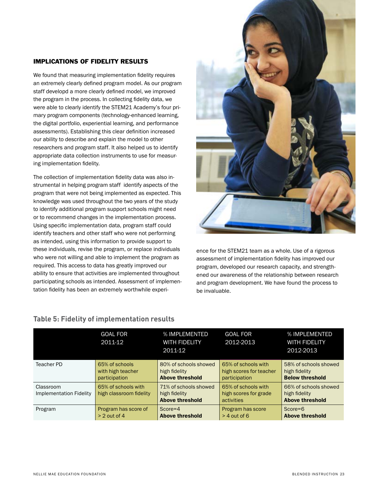### IMPLICATIONS OF FIDELITY RESULTS

We found that measuring implementation fidelity requires an extremely clearly defined program model. As our program staff developd a more clearly defined model, we improved the program in the process. In collecting fidelity data, we were able to clearly identify the STEM21 Academy's four primary program components (technology-enhanced learning, the digital portfolio, experiential learning, and performance assessments). Establishing this clear definition increased our ability to describe and explain the model to other researchers and program staff. It also helped us to identify appropriate data collection instruments to use for measuring implementation fidelity.

The collection of implementation fidelity data was also instrumental in helping program staff identify aspects of the program that were not being implemented as expected. This knowledge was used throughout the two years of the study to identify additional program support schools might need or to recommend changes in the implementation process. Using specific implementation data, program staff could identify teachers and other staff who were not performing as intended, using this information to provide support to these individuals, revise the program, or replace individuals who were not willing and able to implement the program as required. This access to data has greatly improved our ability to ensure that activities are implemented throughout participating schools as intended. Assessment of implementation fidelity has been an extremely worthwhile experi-



ence for the STEM21 team as a whole. Use of a rigorous assessment of implementation fidelity has improved our program, developed our research capacity, and strengthened our awareness of the relationship between research and program development. We have found the process to be invaluable.

|                                      | <b>GOAL FOR</b><br>2011-12                           | % IMPLEMENTED<br><b>WITH FIDELITY</b><br>2011-12                 | <b>GOAL FOR</b><br>2012-2013                                    | % IMPLEMENTED<br><b>WITH FIDELITY</b><br>2012-2013               |
|--------------------------------------|------------------------------------------------------|------------------------------------------------------------------|-----------------------------------------------------------------|------------------------------------------------------------------|
| Teacher PD                           | 65% of schools<br>with high teacher<br>participation | 80% of schools showed<br>high fidelity<br><b>Above threshold</b> | 65% of schools with<br>high scores for teacher<br>participation | 58% of schools showed<br>high fidelity<br><b>Below threshold</b> |
| Classroom<br>Implementation Fidelity | 65% of schools with<br>high classroom fidelity       | 71% of schools showed<br>high fidelity<br><b>Above threshold</b> | 65% of schools with<br>high scores for grade<br>activities      | 66% of schools showed<br>high fidelity<br><b>Above threshold</b> |
| Program                              | Program has score of<br>$> 2$ out of 4               | $Score=4$<br><b>Above threshold</b>                              | Program has score<br>$>$ 4 out of 6                             | $Score=6$<br><b>Above threshold</b>                              |

# **Table 5: Fidelity of implementation results**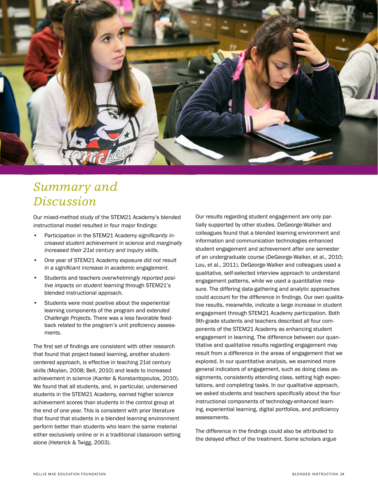

# *Summary and Discussion*

Our mixed-method study of the STEM21 Academy's blended instructional model resulted in four major findings:

- Participation in the STEM21 Academy *significantly increased student achievement* in science and *marginally increased their 21st century and inquiry skills.*
- One year of STEM21 Academy exposure *did not result in a significant increase in academic engagement.*
- Students and teachers *overwhelmingly reported positive impacts on student learning* through STEM21's blended instructional approach.
- Students were most positive about the experiential learning components of the program and *extended Challenge Projects.* There was a less favorable feedback related to the program's unit proficiency assessments.

The first set of findings are consistent with other research that found that project-based learning, another studentcentered approach, is effective in teaching 21st century skills (Moylan, 2008; Bell, 2010) and leads to increased achievement in science (Kanter & Konstantopoulos, 2010). We found that all students, and, in particular, underserved students in the STEM21 Academy, earned higher science achievement scores than students in the control group at the end of one year. This is consistent with prior literature that found that students in a blended learning environment perform better than students who learn the same material either exclusively online or in a traditional classroom setting alone (Heterick & Twigg, 2003).

Our results regarding student engagement are only partially supported by other studies. DeGeorge-Walker and colleagues found that a blended learning environment and information and communication technologies enhanced student engagement and achievement after one semester of an undergraduate course (DeGeorge-Walker, et al., 2010; Lou, et al., 2011). DeGeorge-Walker and colleagues used a qualitative, self-selected interview approach to understand engagement patterns, while we used a quantitative measure. The differing data-gathering and analytic approaches could account for the difference in findings. Our own qualitative results, meanwhile, indicate a large increase in student engagement through STEM21 Academy participation. Both 9th-grade students and teachers described all four components of the STEM21 Academy as enhancing student engagement in learning. The difference between our quantitative and qualitative results regarding engagement may result from a difference in the areas of engagement that we explored. In our quantitative analysis, we examined more general indicators of engagement, such as doing class assignments, consistently attending class, setting high expectations, and completing tasks. In our qualitative approach, we asked students and teachers specifically about the four instructional components of technology-enhanced learning, experiential learning, digital portfolios, and proficiency assessments.

The difference in the findings could also be attributed to the delayed effect of the treatment. Some scholars argue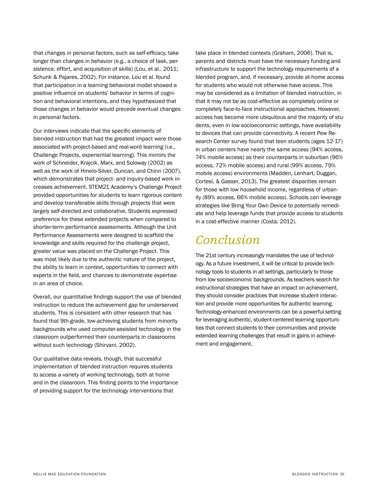that changes in personal factors, such as self-efficacy, take longer than changes in behavior (e.g., a choice of task, persistence, effort, and acquisition of skills) (Lou, et al., 2011; Schunk & Pajares, 2002). For instance, Lou et al. found that participation in a learning behavioral model showed a positive influence on students' behavior in terms of cognition and behavioral intentions, and they hypothesized that those changes in behavior would precede eventual changes in personal factors.

Our interviews indicate that the specific elements of blended instruction that had the greatest impact were those associated with project-based and real-word learning (i.e., Challenge Projects, experiential learning). This mirrors the work of Schneider, Krajcik, Marx, and Soloway (2002) as well as the work of Hmelo-Silver, Duncan, and Chinn (2007), which demonstrates that project- and inquiry-based work increases achievement. STEM21 Academy's Challenge Project provided opportunities for students to learn rigorous content and develop transferable skills through projects that were largely self-directed and collaborative. Students expressed preference for these extended projects when compared to shorter-term performance assessments. Although the Unit Performance Assessments were designed to scaffold the knowledge and skills required for the challenge project, greater value was placed on the Challenge Project. This was most likely due to the authentic nature of the project, the ability to learn in context, opportunities to connect with experts in the field, and chances to demonstrate expertise in an area of choice.

Overall, our quantitative findings support the use of blended instruction to reduce the achievement gap for underserved students. This is consistent with other research that has found that 9th-grade, low-achieving students from minority backgrounds who used computer-assisted technology in the classroom outperformed their counterparts in classrooms without such technology (Shirvani, 2002).

Our qualitative data reveals, though, that successful implementation of blended instruction requires students to access a variety of working technology, both at home and in the classroom. This finding points to the importance of providing support for the technology interventions that

take place in blended contexts (Graham, 2006). That is, parents and districts must have the necessary funding and infrastructure to support the technology requirements of a blended program, and, if necessary, provide at-home access for students who would not otherwise have access. This may be considered as a limitation of blended instruction, in that it may not be as cost-effective as completely online or completely face-to-face instructional approaches. However, access has become more ubiquitous and the majority of students, even in low socioeconomic settings, have availability to devices that can provide connectivity. A recent Pew Research Center survey found that teen students (ages 12-17) in urban centers have nearly the same access (94% access, 74% mobile access) as their counterparts in suburban (96% access, 72% mobile access) and rural (99% access, 79% mobile access) environments (Madden, Lenhart, Duggan, Cortesi, & Gasser, 2013). The greatest disparities remain for those with low household income, regardless of urbanity (89% access, 66% mobile access). Schools can leverage strategies like Bring Your Own Device to potentially remediate and help leverage funds that provide access to students in a cost-effective manner (Costa, 2012).

# *Conclusion*

The 21st century increasingly mandates the use of technology. As a future investment, it will be critical to provide technology tools to students in all settings, particularly to those from low socioeconomic backgrounds. As teachers search for instructional strategies that have an impact on achievement, they should consider practices that increase student interaction and provide more opportunities for authentic learning. Technology-enhanced environments can be a powerful setting for leveraging authentic, student-centered learning opportunities that connect students to their communities and provide extended learning challenges that result in gains in achievement and engagement.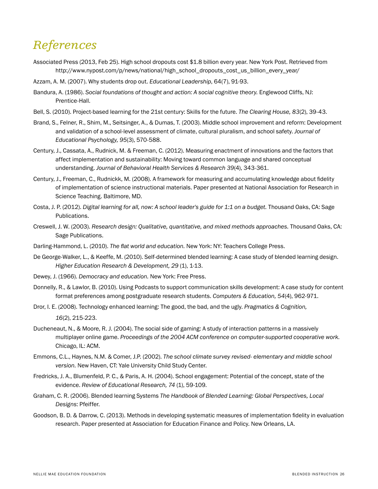# References *References*

- Associated Press (2013, Feb 25). High school dropouts cost \$1.8 billion every year. New York Post. Retrieved from http://www.nypost.com/p/news/national/high\_school\_dropouts\_cost\_us\_billion\_every\_year/
- Azzam, A. M. (2007). Why students drop out. *Educational Leadership*, 64(7), 91-93.
- Bandura, A. (1986). *Social foundations of thought and action: A social cognitive theory.* Englewood Cliffs, NJ: Prentice-Hall.
- Bell, S. (2010). Project-based learning for the 21st century: Skills for the future. *The Clearing House, 83*(2), 39-43.
- Brand, S., Felner, R., Shim, M., Seitsinger, A., & Dumas, T. (2003). Middle school improvement and reform: Development and validation of a school-level assessment of climate, cultural pluralism, and school safety. *Journal of Educational Psychology, 95*(3), 570-588.
- Century, J., Cassata, A., Rudnick, M. & Freeman, C. (2012). Measuring enactment of innovations and the factors that affect implementation and sustainability: Moving toward common language and shared conceptual understanding. *Journal of Behavioral Health Services & Research 39*(4), 343-361.
- Century, J., Freeman, C., Rudnickk, M. (2008). A framework for measuring and accumulating knowledge about fidelity of implementation of science instructional materials. Paper presented at National Association for Research in Science Teaching. Baltimore, MD.
- Costa, J. P. (2012). *Digital learning for all, now: A school leader's guide for 1:1 on a budget.* Thousand Oaks, CA: Sage Publications.
- Creswell, J. W. (2003). *Research design: Qualitative, quantitative, and mixed methods approaches.* Thousand Oaks, CA: Sage Publications.
- Darling-Hammond, L. (2010). *The flat world and education.* New York: NY: Teachers College Press.
- De George-Walker, L., & Keeffe, M. (2010). Self-determined blended learning: A case study of blended learning design. *Higher Education Research & Development, 29* (1), 1-13.
- Dewey, J. (1966). *Democracy and education.* New York: Free Press.
- Donnelly, R., & Lawlor, B. (2010). Using Podcasts to support communication skills development: A case study for content format preferences among postgraduate research students. *Computers & Education, 54*(4), 962-971.
- Dror, I. E. (2008). Technology enhanced learning: The good, the bad, and the ugly. *Pragmatics & Cognition, 16*(2), 215-223.
- Ducheneaut, N., & Moore, R. J. (2004). The social side of gaming: A study of interaction patterns in a massively multiplayer online game. *Proceedings of the 2004 ACM conference on computer-supported cooperative work.* Chicago, IL: ACM.
- Emmons, C.L., Haynes, N.M. & Comer, J.P. (2002). *The school climate survey revised- elementary and middle school version.* New Haven, CT: Yale University Child Study Center.
- Fredricks, J. A., Blumenfeld, P. C., & Paris, A. H. (2004). School engagement: Potential of the concept, state of the evidence. Review of Educational Research, 74 (1), 59-109.
- Graham, C. R. (2006). Blended learning Systems *The Handbook of Blended Learning: Global Perspectives, Local Designs*: Pfeiffer.
- Goodson, B. D. & Darrow, C. (2013). Methods in developing systematic measures of implementation fidelity in evaluation research. Paper presented at Association for Education Finance and Policy. New Orleans, LA.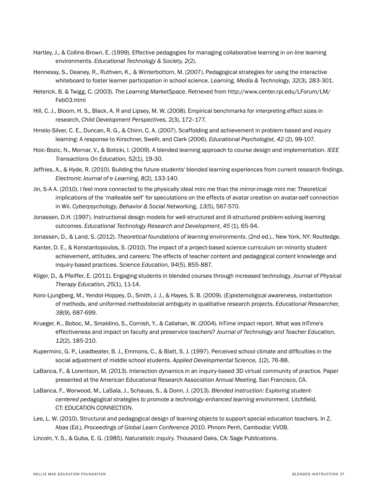- Hartley, J., & Collins-Brown, E. (1999). Effective pedagogies for managing collaborative learning in on-line learning environments. *Educational Technology & Society, 2*(2).
- Hennessy, S., Deaney, R., Ruthven, K., & Winterbottom, M. (2007). Pedagogical strategies for using the interactive whiteboard to foster learner participation in school science. *Learning, Media & Technology, 32*(3), 283-301.
- Heterick, B. & Twigg, C. (2003). *The Learning MarketSpace*. Retrieved from http://www.center.rpi.edu/LForum/LM/ Feb03.html
- Hill, C. J., Bloom, H. S., Black, A. R and Lipsey, M. W. (2008). Empirical benchmarks for interpreting effect sizes in research, *Child Development Perspectives,* 2(3), 172–177.
- Hmelo-Silver, C. E., Duncan, R. G., & Chinn, C. A. (2007). Scaffolding and achievement in problem-based and inquiry learning: A response to Kirschner, Swellr, and Clark (2006). *Educational Psychologist, 42* (2), 99-107.
- Hoic-Bozic, N., Mornar, V., & Boticki, I. (2009). A blended learning approach to course design and implementation. *IEEE Transactions On Education, 52*(1), 19-30.
- Jeffries, A., & Hyde, R. (2010). Building the future students' blended learning experiences from current research findings. *Electronic Journal of e-Learning, 8*(2), 133-140.
- Jin, S-A A. (2010). I feel more connected to the physically ideal mini me than the mirror-image mini me: Theoretical implications of the 'malleable self' for speculations on the effects of avatar creation on avatar-self connection in Wii. *Cyberpsychology, Behavior & Social Networking, 13*(5), 567-570.
- Jonassen, D.H. (1997). Instructional design models for well-structured and ill-structured problem-solving learning outcomes. *Educational Technology Research and Development, 45* (1), 65-94.
- Jonassen, D., & Land, S. (2012). *Theoretical foundations of learning environments*. (2nd ed.).. New York, NY: Routledge.
- Kanter, D. E., & Konstantopoulos, S. (2010). The impact of a project-based science curriculum on minority student achievement, attitudes, and careers: The effects of teacher content and pedagogical content knowledge and inquiry-based practices. *Science Education, 94*(5), 855-887.
- Kliger, D., & Pfeiffer, E. (2011). Engaging students in blended courses through increased technology. *Journal of Physical Therapy Education, 25*(1), 11-14.
- Koro-Ljungberg, M., Yendol-Hoppey, D., Smith, J. J., & Hayes, S. B. (2009). (E)pistemoligical awareness, instantiation of methods, and uniformed methodolocial ambiguity in qualitative research projects. *Educational Researcher, 38*(9), 687-699.
- Krueger, K., Boboc, M., Smaldino, S., Cornish, Y., & Callahan, W. (2004). InTime impact report. What was InTime's effectiveness and impact on faculty and preservice teachers? *Journal of Technology and Teacher Education, 12*(2), 185-210.
- Kuperminc, G. P., Leadbeater, B. J., Emmons, C., & Blatt, S. J. (1997). Perceived school climate and difficulties in the social adjustment of middle school students. *Applied Developmental Science, 1*(2), 76-88.
- LaBanca, F., & Lorentson, M. (2013). Interaction dynamics in an inquiry-based 3D virtual community of practice. Paper presented at the American Educational Research Association Annual Meeting. San Francisco, CA.
- LaBanca, F., Worwood, M., LaSala, J., Schauss, S., & Donn, J. (2013). *Blended instruction: Exploring studentcentered pedagogical strategies to promote a technology-enhanced learning environment.* Litchfield, CT: EDUCATION CONNECTION.
- Lee, L. W. (2010). Structural and pedagogical design of learning objects to support special education teachers. In Z. Abas (Ed.), *Proceedings of Global Learn Conference 2010.* Phnom Penh, Cambodia: VVOB.
- Lincoln, Y. S., & Guba, E. G. (1985). *Naturalistic inquiry.* Thousand Oaks, CA: Sage Publications.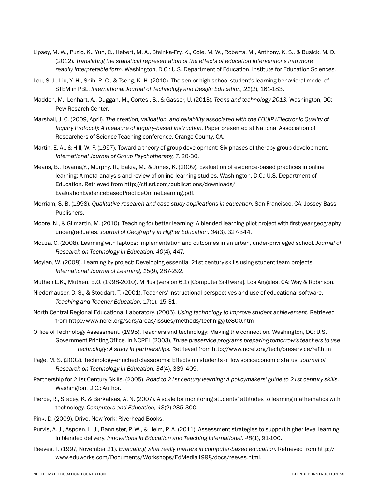- Lipsey, M. W., Puzio, K., Yun, C., Hebert, M. A., Steinka-Fry, K., Cole, M. W., Roberts, M., Anthony, K. S., & Busick, M. D. (2012). *Translating the statistical representation of the effects of education interventions into more readily interpretable form.* Washington, D.C.: U.S. Department of Education, Institute for Education Sciences.
- Lou, S. J., Liu, Y. H., Shih, R. C., & Tseng, K. H. (2010). The senior high school student's learning behavioral model of STEM in PBL. *International Journal of Technology and Design Education, 21*(2), 161-183.
- Madden, M., Lenhart, A., Duggan, M., Cortesi, S., & Gasser, U. (2013). *Teens and technology 2013.* Washington, DC: Pew Resarch Center.
- Marshall, J. C. (2009, April). *The creation, validation, and reliability associated with the EQUIP (Electronic Quality of Inquiry Protocol): A measure of inquiry-based instruction.* Paper presented at National Association of Researchers of Science Teaching conference. Orange County, CA.
- Martin, E. A., & Hill, W. F. (1957). Toward a theory of group development: Six phases of therapy group development. *International Journal of Group Psychotherapy, 7*, 20-30.
- Means, B., Toyama,Y., Murphy. R., Bakia, M., & Jones, K. (2009). Evaluation of evidence-based practices in online learning: A meta-analysis and review of online-learning studies. Washington, D.C.: U.S. Department of Education. Retrieved from http://ctl.sri.com/publications/downloads/ EvaluationEvidenceBasedPracticeOnlineLearning.pdf.
- Merriam, S. B. (1998). *Qualitative research and case study applications in education.* San Francisco, CA: Jossey-Bass Publishers.
- Moore, N., & Gilmartin, M. (2010). Teaching for better learning: A blended learning pilot project with first-year geography undergraduates. *Journal of Geography in Higher Education, 34*(3), 327-344.
- Mouza, C. (2008). Learning with laptops: Implementation and outcomes in an urban, under-privileged school. *Journal of Research on Technology in Education, 40*(4), 447.
- Moylan, W. (2008). Learning by project: Developing essential 21st century skills using student team projects. *International Journal of Learning, 15*(9), 287-292.
- Muthen L.K., Muthen, B.O. (1998-2010). MPlus (version 6.1) [Computer Software]. Los Angeles, CA: Way & Robinson.
- Niederhauser, D. S., & Stoddart, T. (2001). Teachers' instructional perspectives and use of educational software. *Teaching and Teacher Education,* 17(1), 15-31.
- North Central Regional Educational Laboratory. (2005). *Using technology to improve student achievement.* Retrieved from http://www.ncrel.org/sdrs/areas/issues/methods/technlgy/te800.htm
- Office of Technology Assessment. (1995). Teachers and technology: Making the connection. Washington, DC: U.S. Government Printing Office. In NCREL (2003), *Three preservice programs preparing tomorrow's teachers to use technology: A study in partnerships.* Retrieved from http://www.ncrel.org/tech/preservice/ref.htm
- Page, M. S. (2002). Technology-enriched classrooms: Effects on students of low socioeconomic status. *Journal of Research on Technology in Education, 34*(4), 389-409.
- Partnership for 21st Century Skills. (2005). *Road to 21st century learning: A policymakers' guide to 21st century skills.* Washington, D.C.: Author.
- Pierce, R., Stacey, K. & Barkatsas, A. N. (2007). A scale for monitoring students' attitudes to learning mathematics with technology. *Computers and Education, 48*(2) 285-300.
- Pink, D. (2009). Drive. New York: Riverhead Books.
- Purvis, A. J., Aspden, L. J., Bannister, P. W., & Helm, P. A. (2011). Assessment strategies to support higher level learning in blended delivery. *Innovations in Education and Teaching International, 48*(1), 91-100.
- Reeves, T. (1997, November 21). *Evaluating what really matters in computer-based education.* Retrieved from http:// www.eduworks.com/Documents/Workshops/EdMedia1998/docs/reeves.html.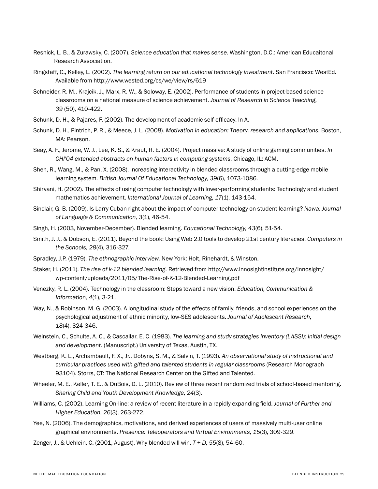- Resnick, L. B., & Zurawsky, C. (2007). *Science education that makes sense*. Washington, D.C.: American Educaitonal Research Association.
- Ringstaff, C., Kelley, L. (2002). *The learning return on our educational technology investment.* San Francisco: WestEd. Available from http://www.wested.org/cs/we/view/rs/619
- Schneider, R. M., Krajcik, J., Marx, R. W., & Soloway, E. (2002). Performance of students in project-based science classrooms on a national measure of science achievement. *Journal of Research in Science Teaching, 39* (50), 410-422.
- Schunk, D. H., & Pajares, F. (2002). The development of academic self-efficacy. In A.
- Schunk, D. H., Pintrich, P. R., & Meece, J. L. (2008). *Motivation in education: Theory, research and applications.* Boston, MA: Pearson.
- Seay, A. F., Jerome, W. J., Lee, K. S., & Kraut, R. E. (2004). Project massive: A study of online gaming communities. *In CHI'04 extended abstracts on human factors in computing systems.* Chicago, IL: ACM.
- Shen, R., Wang, M., & Pan, X. (2008). Increasing interactivity in blended classrooms through a cutting-edge mobile learning system. *British Journal Of Educational Technology, 39*(6), 1073-1086.
- Shirvani, H. (2002). The effects of using computer technology with lower-performing students: Technology and student mathematics achievement. *International Journal of Learning, 17*(1), 143-154.
- Sinclair, G. B. (2009). Is Larry Cuban right about the impact of computer technology on student learning? *Nawa: Journal of Language & Communication, 3*(1), 46-54.
- Singh, H. (2003, November-December). Blended learning. *Educational Technology, 43*(6), 51-54.
- Smith, J. J., & Dobson, E. (2011). Beyond the book: Using Web 2.0 tools to develop 21st century literacies. *Computers in the Schools, 28*(4), 316-327.
- Spradley, J.P. (1979). *The ethnographic interview.* New York: Holt, Rinehardt, & Winston.
- Staker, H. (2011). *The rise of k-12 blended learning.* Retrieved from http://www.innosightinstitute.org/innosight/ wp-content/uploads/2011/05/The-Rise-of-K-12-Blended-Learning.pdf
- Venezky, R. L. (2004). Technology in the classroom: Steps toward a new vision. *Education, Communication & Information, 4*(1), 3-21.
- Way, N., & Robinson, M. G. (2003). A longitudinal study of the effects of family, friends, and school experiences on the psychological adjustment of ethnic minority, low-SES adolescents. *Journal of Adolescent Research, 18*(4), 324-346.
- Weinstein, C., Schulte, A. C., & Cascallar, E. C. (1983). *The learning and study strategies inventory (LASSI): Initial design and development.* (Manuscript.) University of Texas, Austin, TX.
- Westberg, K. L., Archambault, F. X., Jr., Dobyns, S. M., & Salvin, T. (1993). *An observational study of instructional and curricular practices used with gifted and talented students in regular classrooms* (Research Monograph 93104). Storrs, CT: The National Research Center on the Gifted and Talented.
- Wheeler, M. E., Keller, T. E., & DuBois, D. L. (2010). Review of three recent randomized trials of school-based mentoring. *Sharing Child and Youth Development Knowledge, 24*(3).
- Williams, C. (2002). Learning On-line: a review of recent literature in a rapidly expanding field. *Journal of Further and Higher Education, 26*(3), 263-272.
- Yee, N. (2006). The demographics, motivations, and derived experiences of users of massively multi-user online graphical environments. *Presence: Teleoperators and Virtual Environments, 15*(3), 309-329.
- Zenger, J., & Uehlein, C. (2001, August). Why blended will win. *T + D, 55*(8), 54-60.